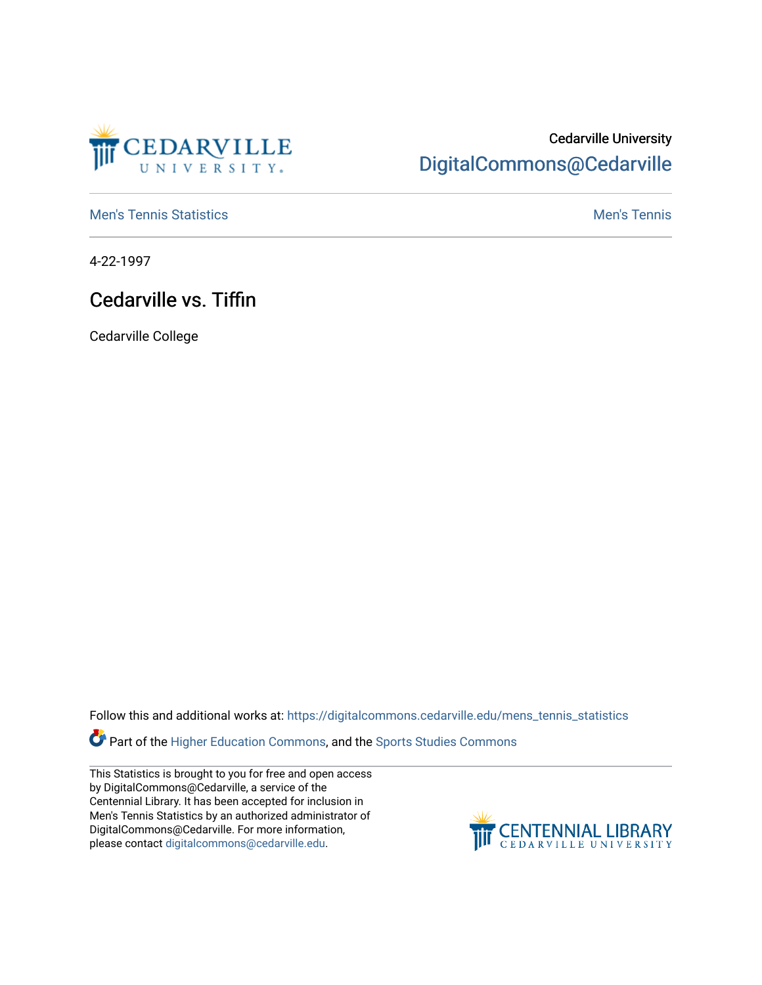

## Cedarville University [DigitalCommons@Cedarville](https://digitalcommons.cedarville.edu/)

**[Men's Tennis Statistics](https://digitalcommons.cedarville.edu/mens_tennis_statistics) Mental According to the Control of Control According Mental Men's Tennis** 

4-22-1997

## Cedarville vs. Tiffin

Cedarville College

Follow this and additional works at: [https://digitalcommons.cedarville.edu/mens\\_tennis\\_statistics](https://digitalcommons.cedarville.edu/mens_tennis_statistics?utm_source=digitalcommons.cedarville.edu%2Fmens_tennis_statistics%2F373&utm_medium=PDF&utm_campaign=PDFCoverPages)

**Part of the [Higher Education Commons,](http://network.bepress.com/hgg/discipline/1245?utm_source=digitalcommons.cedarville.edu%2Fmens_tennis_statistics%2F373&utm_medium=PDF&utm_campaign=PDFCoverPages) and the Sports Studies Commons** 

This Statistics is brought to you for free and open access by DigitalCommons@Cedarville, a service of the Centennial Library. It has been accepted for inclusion in Men's Tennis Statistics by an authorized administrator of DigitalCommons@Cedarville. For more information, please contact [digitalcommons@cedarville.edu](mailto:digitalcommons@cedarville.edu).